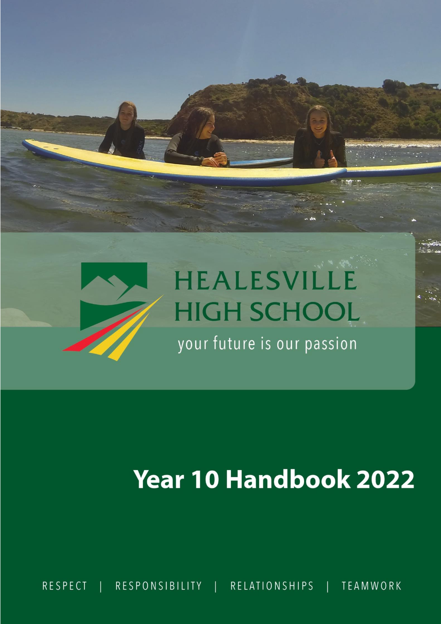

# **Year 10 Handbook 2022**

**TEAMWORK**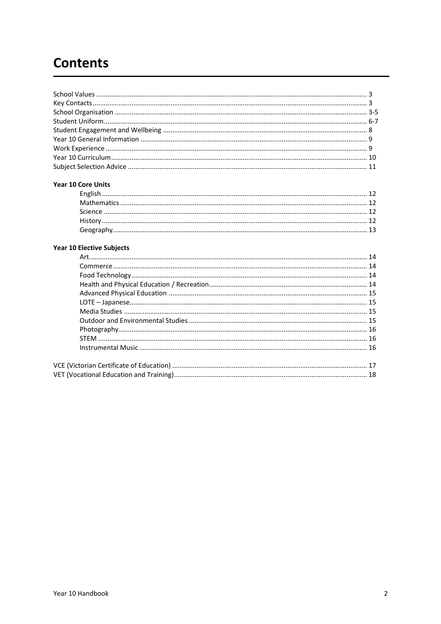# **Contents**

#### Year 10 Core Units

# Year 10 Elective Subjects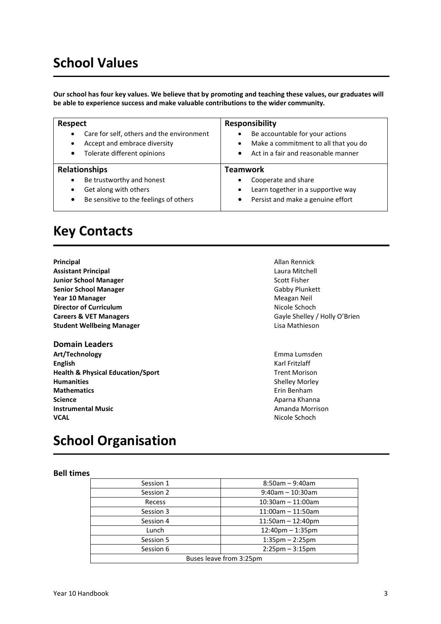# **School Values**

**Our school has four key values. We believe that by promoting and teaching these values, our graduates will be able to experience success and make valuable contributions to the wider community.**

| <b>Respect</b>                            | Responsibility                                  |
|-------------------------------------------|-------------------------------------------------|
| Care for self, others and the environment | Be accountable for your actions                 |
| $\bullet$                                 | $\bullet$                                       |
| Accept and embrace diversity              | Make a commitment to all that you do            |
| ٠                                         | $\bullet$                                       |
| Tolerate different opinions               | Act in a fair and reasonable manner             |
| $\bullet$                                 | $\bullet$                                       |
| <b>Relationships</b>                      | <b>Teamwork</b>                                 |
| Be trustworthy and honest                 | Cooperate and share                             |
| $\bullet$                                 | $\bullet$                                       |
| Get along with others                     | Learn together in a supportive way<br>$\bullet$ |
| Be sensitive to the feelings of others    | Persist and make a genuine effort               |
| $\bullet$                                 | $\bullet$                                       |

# **Key Contacts**

| Principal                         |
|-----------------------------------|
| <b>Assistant Principal</b>        |
| <b>Junior School Manager</b>      |
| <b>Senior School Manager</b>      |
| Year 10 Manager                   |
| <b>Director of Curriculum</b>     |
| <b>Careers &amp; VET Managers</b> |
| <b>Student Wellbeing Manager</b>  |

# **Domain Leaders**

**Art/Technology** Emma Lumsden **English** Karl Fritzlaff **Health & Physical Education/Sport** Trent Morison **Humanities** Shelley Morley **Mathematics** Erin Benham **Science** Aparna Khanna Khanna Khanna Khanna Khanna Khanna Khanna Khanna Khanna Khanna Khanna Khanna Khanna Khanna Khanna Khanna Khanna Khanna Khanna Khanna Khanna Khanna Khanna Khanna Khanna Khanna Khanna Khanna Khanna Kh **Instrumental Music Amanda Morrison VCAL** Nicole Schoch

**Principal** Allan Rennick **Assistant Principal** Laura Mitchell **Scott Fisher Senior School Manager** Gabby Plunkett **Meagan Neil Nicole Schoch** Gayle Shelley / Holly O'Brien **Lisa Mathieson** 

# **School Organisation**

#### **Bell times**

| Session 1               | $8:50$ am - 9:40am                |  |
|-------------------------|-----------------------------------|--|
| Session 2               | $9:40$ am - 10:30am               |  |
| Recess                  | $10:30$ am - 11:00am              |  |
| Session 3               | $11:00$ am - 11:50am              |  |
| Session 4               | $11:50$ am $-12:40$ pm            |  |
| Lunch                   | $12:40$ pm $-1:35$ pm             |  |
| Session 5               | $1:35$ pm $- 2:25$ pm             |  |
| Session 6               | $2:25 \text{pm} - 3:15 \text{pm}$ |  |
| Buses leave from 3:25pm |                                   |  |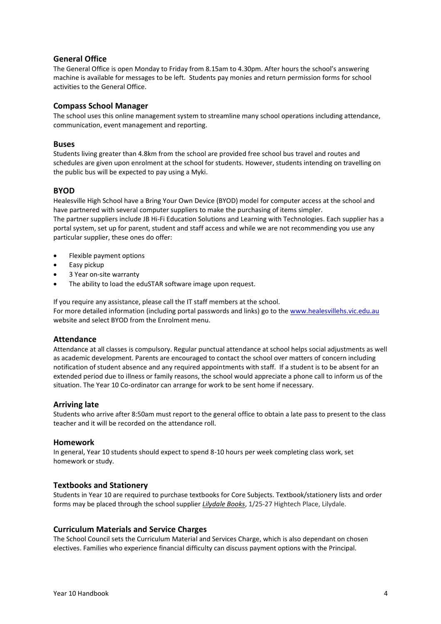### **General Office**

The General Office is open Monday to Friday from 8.15am to 4.30pm. After hours the school's answering machine is available for messages to be left. Students pay monies and return permission forms for school activities to the General Office.

#### **Compass School Manager**

The school uses this online management system to streamline many school operations including attendance, communication, event management and reporting.

#### **Buses**

Students living greater than 4.8km from the school are provided free school bus travel and routes and schedules are given upon enrolment at the school for students. However, students intending on travelling on the public bus will be expected to pay using a Myki.

#### **BYOD**

Healesville High School have a Bring Your Own Device (BYOD) model for computer access at the school and have partnered with several computer suppliers to make the purchasing of items simpler. The partner suppliers include JB Hi-Fi Education Solutions and Learning with Technologies. Each supplier has a portal system, set up for parent, student and staff access and while we are not recommending you use any particular supplier, these ones do offer:

- Flexible payment options
- Easy pickup
- 3 Year on-site warranty
- The ability to load the eduSTAR software image upon request.

If you require any assistance, please call the IT staff members at the school. For more detailed information (including portal passwords and links) go to the [www.healesvillehs.vic.edu.au](http://www.healesvillehs.vic.edu.au/) website and select BYOD from the Enrolment menu.

#### **Attendance**

Attendance at all classes is compulsory. Regular punctual attendance at school helps social adjustments as well as academic development. Parents are encouraged to contact the school over matters of concern including notification of student absence and any required appointments with staff. If a student is to be absent for an extended period due to illness or family reasons, the school would appreciate a phone call to inform us of the situation. The Year 10 Co-ordinator can arrange for work to be sent home if necessary.

#### **Arriving late**

Students who arrive after 8:50am must report to the general office to obtain a late pass to present to the class teacher and it will be recorded on the attendance roll.

#### **Homework**

In general, Year 10 students should expect to spend 8-10 hours per week completing class work, set homework or study.

#### **Textbooks and Stationery**

Students in Year 10 are required to purchase textbooks for Core Subjects. Textbook/stationery lists and order forms may be placed through the school supplier *Lilydale Books*, 1/25-27 Hightech Place, Lilydale.

#### **Curriculum Materials and Service Charges**

The School Council sets the Curriculum Material and Services Charge, which is also dependant on chosen electives. Families who experience financial difficulty can discuss payment options with the Principal.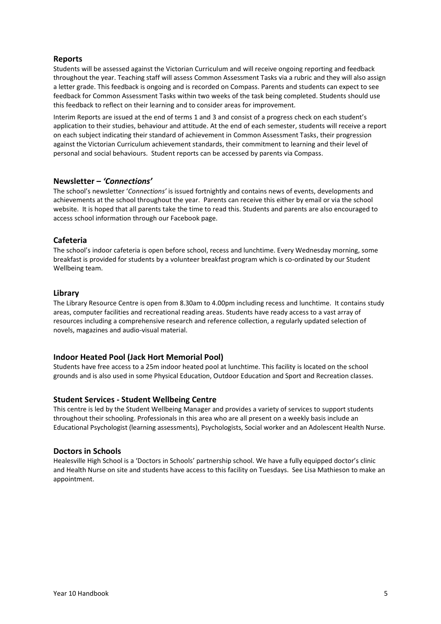# **Reports**

Students will be assessed against the Victorian Curriculum and will receive ongoing reporting and feedback throughout the year. Teaching staff will assess Common Assessment Tasks via a rubric and they will also assign a letter grade. This feedback is ongoing and is recorded on Compass. Parents and students can expect to see feedback for Common Assessment Tasks within two weeks of the task being completed. Students should use this feedback to reflect on their learning and to consider areas for improvement.

Interim Reports are issued at the end of terms 1 and 3 and consist of a progress check on each student's application to their studies, behaviour and attitude. At the end of each semester, students will receive a report on each subject indicating their standard of achievement in Common Assessment Tasks, their progression against the Victorian Curriculum achievement standards, their commitment to learning and their level of personal and social behaviours. Student reports can be accessed by parents via Compass.

#### **Newsletter –** *'Connections'*

The school's newsletter '*Connections'* is issued fortnightly and contains news of events, developments and achievements at the school throughout the year. Parents can receive this either by email or via the school website. It is hoped that all parents take the time to read this. Students and parents are also encouraged to access school information through our Facebook page.

# **Cafeteria**

The school's indoor cafeteria is open before school, recess and lunchtime. Every Wednesday morning, some breakfast is provided for students by a volunteer breakfast program which is co-ordinated by our Student Wellbeing team.

#### **Library**

The Library Resource Centre is open from 8.30am to 4.00pm including recess and lunchtime. It contains study areas, computer facilities and recreational reading areas. Students have ready access to a vast array of resources including a comprehensive research and reference collection, a regularly updated selection of novels, magazines and audio-visual material.

#### **Indoor Heated Pool (Jack Hort Memorial Pool)**

Students have free access to a 25m indoor heated pool at lunchtime. This facility is located on the school grounds and is also used in some Physical Education, Outdoor Education and Sport and Recreation classes.

#### **Student Services - Student Wellbeing Centre**

This centre is led by the Student Wellbeing Manager and provides a variety of services to support students throughout their schooling. Professionals in this area who are all present on a weekly basis include an Educational Psychologist (learning assessments), Psychologists, Social worker and an Adolescent Health Nurse.

#### **Doctors in Schools**

Healesville High School is a 'Doctors in Schools' partnership school. We have a fully equipped doctor's clinic and Health Nurse on site and students have access to this facility on Tuesdays. See Lisa Mathieson to make an appointment.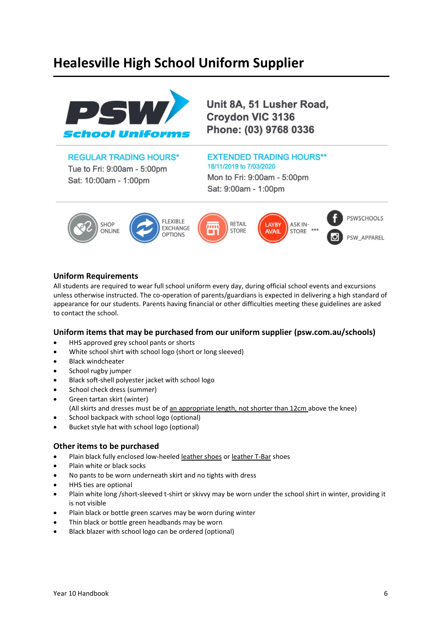# **Healesville High School Uniform Supplier**



Unit 8A, 51 Lusher Road, **Croydon VIC 3136** Phone: (03) 9768 0336

# **REGULAR TRADING HOURS\***

Tue to Fri: 9:00am - 5:00pm Sat: 10:00am - 1:00pm

# **EXTENDED TRADING HOURS\*\***

18/11/2019 to 7/03/2020 Mon to Fri: 9:00am - 5:00pm Sat: 9:00am - 1:00pm



### **Uniform Requirements**

All students are required to wear full school uniform every day, during official school events and excursions unless otherwise instructed. The co-operation of parents/guardians is expected in delivering a high standard of appearance for our students. Parents having financial or other difficulties meeting these guidelines are asked to contact the school.

#### **Uniform items that may be purchased from our uniform supplier (psw.com.au/schools)**

- HHS approved grey school pants or shorts
- White school shirt with school logo (short or long sleeved)
- **Black windcheater**
- School rugby jumper
- Black soft-shell polyester jacket with school logo
- School check dress (summer)
- Green tartan skirt (winter)
	- (All skirts and dresses must be of an appropriate length, not shorter than 12cm above the knee)
- School backpack with school logo (optional)
- Bucket style hat with school logo (optional)

# **Other items to be purchased**

- Plain black fully enclosed low-heeled leather shoes or leather T-Bar shoes
- Plain white or black socks
- No pants to be worn underneath skirt and no tights with dress
- HHS ties are optional
- Plain white long /short-sleeved t-shirt or skivvy may be worn under the school shirt in winter, providing it is not visible
- Plain black or bottle green scarves may be worn during winter
- Thin black or bottle green headbands may be worn
- Black blazer with school logo can be ordered (optional)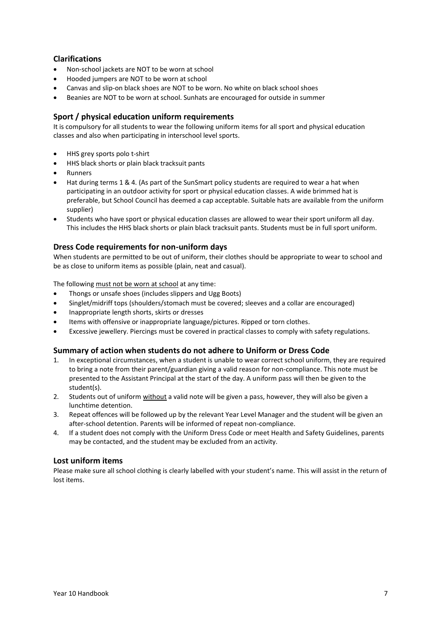# **Clarifications**

- Non-school jackets are NOT to be worn at school
- Hooded jumpers are NOT to be worn at school
- Canvas and slip-on black shoes are NOT to be worn. No white on black school shoes
- Beanies are NOT to be worn at school. Sunhats are encouraged for outside in summer

# **Sport / physical education uniform requirements**

It is compulsory for all students to wear the following uniform items for all sport and physical education classes and also when participating in interschool level sports.

- HHS grey sports polo t-shirt
- HHS black shorts or plain black tracksuit pants
- Runners
- Hat during terms 1 & 4. (As part of the SunSmart policy students are required to wear a hat when participating in an outdoor activity for sport or physical education classes. A wide brimmed hat is preferable, but School Council has deemed a cap acceptable. Suitable hats are available from the uniform supplier)
- Students who have sport or physical education classes are allowed to wear their sport uniform all day. This includes the HHS black shorts or plain black tracksuit pants. Students must be in full sport uniform.

### **Dress Code requirements for non-uniform days**

When students are permitted to be out of uniform, their clothes should be appropriate to wear to school and be as close to uniform items as possible (plain, neat and casual).

The following must not be worn at school at any time:

- Thongs or unsafe shoes (includes slippers and Ugg Boots)
- Singlet/midriff tops (shoulders/stomach must be covered; sleeves and a collar are encouraged)
- Inappropriate length shorts, skirts or dresses
- Items with offensive or inappropriate language/pictures. Ripped or torn clothes.
- Excessive jewellery. Piercings must be covered in practical classes to comply with safety regulations.

#### **Summary of action when students do not adhere to Uniform or Dress Code**

- 1. In exceptional circumstances, when a student is unable to wear correct school uniform, they are required to bring a note from their parent/guardian giving a valid reason for non-compliance. This note must be presented to the Assistant Principal at the start of the day. A uniform pass will then be given to the student(s).
- 2. Students out of uniform without a valid note will be given a pass, however, they will also be given a lunchtime detention.
- 3. Repeat offences will be followed up by the relevant Year Level Manager and the student will be given an after-school detention. Parents will be informed of repeat non-compliance.
- 4. If a student does not comply with the Uniform Dress Code or meet Health and Safety Guidelines, parents may be contacted, and the student may be excluded from an activity.

#### **Lost uniform items**

Please make sure all school clothing is clearly labelled with your student's name. This will assist in the return of lost items.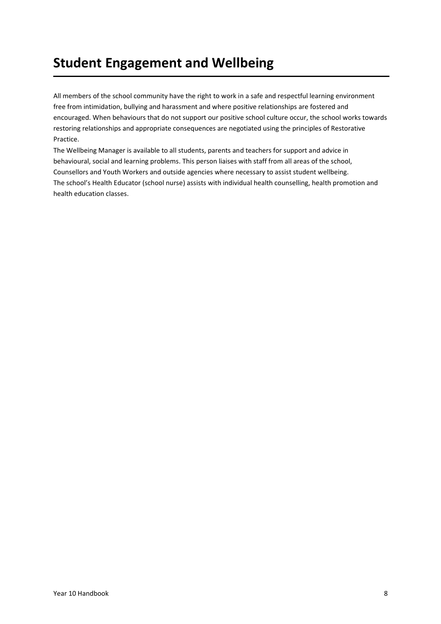# **Student Engagement and Wellbeing**

All members of the school community have the right to work in a safe and respectful learning environment free from intimidation, bullying and harassment and where positive relationships are fostered and encouraged. When behaviours that do not support our positive school culture occur, the school works towards restoring relationships and appropriate consequences are negotiated using the principles of Restorative Practice.

The Wellbeing Manager is available to all students, parents and teachers for support and advice in behavioural, social and learning problems. This person liaises with staff from all areas of the school, Counsellors and Youth Workers and outside agencies where necessary to assist student wellbeing. The school's Health Educator (school nurse) assists with individual health counselling, health promotion and health education classes.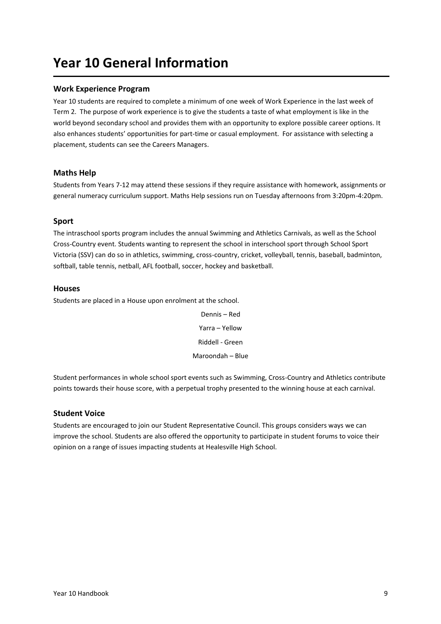# **Year 10 General Information**

# **Work Experience Program**

Year 10 students are required to complete a minimum of one week of Work Experience in the last week of Term 2. The purpose of work experience is to give the students a taste of what employment is like in the world beyond secondary school and provides them with an opportunity to explore possible career options. It also enhances students' opportunities for part-time or casual employment. For assistance with selecting a placement, students can see the Careers Managers.

### **Maths Help**

Students from Years 7-12 may attend these sessions if they require assistance with homework, assignments or general numeracy curriculum support. Maths Help sessions run on Tuesday afternoons from 3:20pm-4:20pm.

### **Sport**

The intraschool sports program includes the annual Swimming and Athletics Carnivals, as well as the School Cross-Country event. Students wanting to represent the school in interschool sport through School Sport Victoria (SSV) can do so in athletics, swimming, cross-country, cricket, volleyball, tennis, baseball, badminton, softball, table tennis, netball, AFL football, soccer, hockey and basketball.

#### **Houses**

Students are placed in a House upon enrolment at the school.

Dennis – Red Yarra – Yellow Riddell - Green Maroondah – Blue

Student performances in whole school sport events such as Swimming, Cross-Country and Athletics contribute points towards their house score, with a perpetual trophy presented to the winning house at each carnival.

#### **Student Voice**

Students are encouraged to join our Student Representative Council. This groups considers ways we can improve the school. Students are also offered the opportunity to participate in student forums to voice their opinion on a range of issues impacting students at Healesville High School.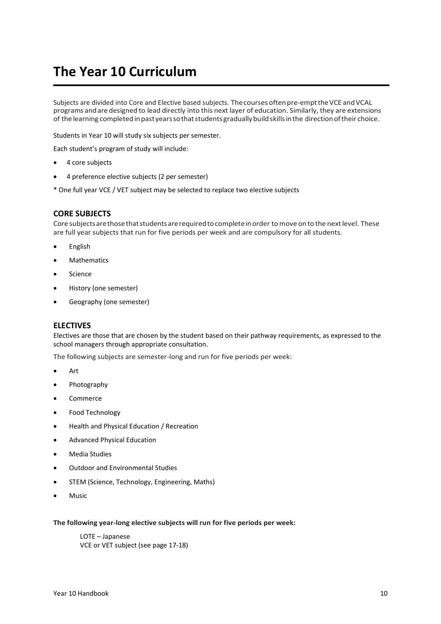# **The Year 10 Curriculum**

Subjects are divided into Core and Elective based subjects. The courses often pre-empt the VCE and VCAL programs andare designed to lead directly into this next layer of education. Similarly, they are extensions of the learning completedinpastyearssothatstudentsgraduallybuildskillsinthe directionoftheir choice.

Students in Year 10 will study six subjects per semester.

Each student's program of study will include:

- 4 core subjects
- 4 preference elective subjects (2 per semester)

\* One full year VCE / VET subject may be selected to replace two elective subjects

#### **CORE SUBJECTS**

Core subjects are those that students are required to complete in order to move on to the next level. These are full year subjects that run for five periods per week and are compulsory for all students.

- English
- **Mathematics**
- **Science**
- History (one semester)
- Geography (one semester)

#### **ELECTIVES**

Electives are those that are chosen by the student based on their pathway requirements, as expressed to the school managers through appropriate consultation.

The following subjects are semester-long and run for five periods per week:

- Art
- Photography
- Commerce
- Food Technology
- Health and Physical Education / Recreation
- Advanced Physical Education
- Media Studies
- Outdoor and Environmental Studies
- STEM (Science, Technology, Engineering, Maths)
- Music

#### **The following year-long elective subjects will run for five periods per week:**

LOTE – Japanese VCE or VET subject (see page 17-18)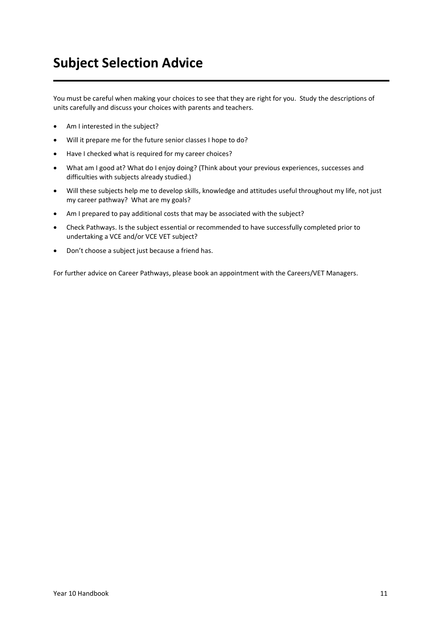# **Subject Selection Advice**

You must be careful when making your choices to see that they are right for you. Study the descriptions of units carefully and discuss your choices with parents and teachers.

- Am I interested in the subject?
- Will it prepare me for the future senior classes I hope to do?
- Have I checked what is required for my career choices?
- What am I good at? What do I enjoy doing? (Think about your previous experiences, successes and difficulties with subjects already studied.)
- Will these subjects help me to develop skills, knowledge and attitudes useful throughout my life, not just my career pathway? What are my goals?
- Am I prepared to pay additional costs that may be associated with the subject?
- Check Pathways. Is the subject essential or recommended to have successfully completed prior to undertaking a VCE and/or VCE VET subject?
- Don't choose a subject just because a friend has.

For further advice on Career Pathways, please book an appointment with the Careers/VET Managers.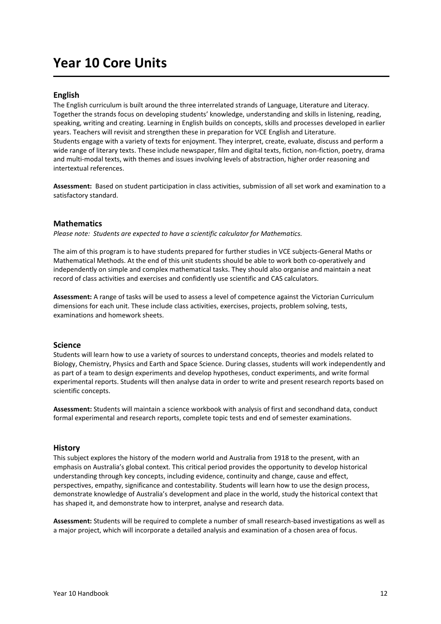# **Year 10 Core Units**

#### **English**

The English curriculum is built around the three interrelated strands of Language, Literature and Literacy. Together the strands focus on developing students' knowledge, understanding and skills in listening, reading, speaking, writing and creating. Learning in English builds on concepts, skills and processes developed in earlier years. Teachers will revisit and strengthen these in preparation for VCE English and Literature. Students engage with a variety of texts for enjoyment. They interpret, create, evaluate, discuss and perform a wide range of literary texts. These include newspaper, film and digital texts, fiction, non-fiction, poetry, drama and multi-modal texts, with themes and issues involving levels of abstraction, higher order reasoning and intertextual references.

**Assessment:** Based on student participation in class activities, submission of all set work and examination to a satisfactory standard.

#### **Mathematics**

*Please note: Students are expected to have a scientific calculator for Mathematics.* 

The aim of this program is to have students prepared for further studies in VCE subjects-General Maths or Mathematical Methods. At the end of this unit students should be able to work both co-operatively and independently on simple and complex mathematical tasks. They should also organise and maintain a neat record of class activities and exercises and confidently use scientific and CAS calculators.

**Assessment:** A range of tasks will be used to assess a level of competence against the Victorian Curriculum dimensions for each unit. These include class activities, exercises, projects, problem solving, tests, examinations and homework sheets.

#### **Science**

Students will learn how to use a variety of sources to understand concepts, theories and models related to Biology, Chemistry, Physics and Earth and Space Science. During classes, students will work independently and as part of a team to design experiments and develop hypotheses, conduct experiments, and write formal experimental reports. Students will then analyse data in order to write and present research reports based on scientific concepts.

**Assessment:** Students will maintain a science workbook with analysis of first and secondhand data, conduct formal experimental and research reports, complete topic tests and end of semester examinations.

#### **History**

This subject explores the history of the modern world and Australia from 1918 to the present, with an emphasis on Australia's global context. This critical period provides the opportunity to develop historical understanding through key concepts, including evidence, continuity and change, cause and effect, perspectives, empathy, significance and contestability. Students will learn how to use the design process, demonstrate knowledge of Australia's development and place in the world, study the historical context that has shaped it, and demonstrate how to interpret, analyse and research data.

**Assessment:** Students will be required to complete a number of small research-based investigations as well as a major project, which will incorporate a detailed analysis and examination of a chosen area of focus.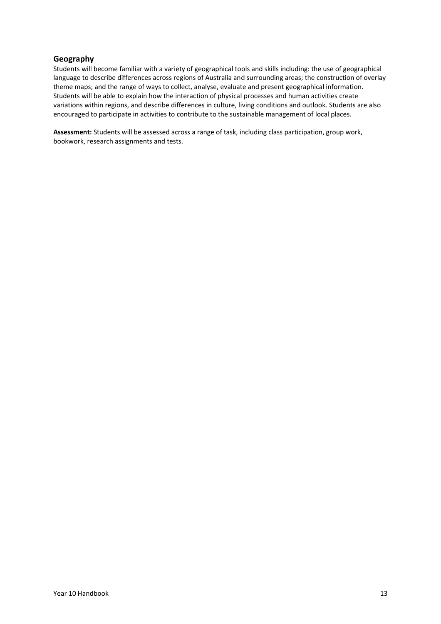# **Geography**

Students will become familiar with a variety of geographical tools and skills including: the use of geographical language to describe differences across regions of Australia and surrounding areas; the construction of overlay theme maps; and the range of ways to collect, analyse, evaluate and present geographical information. Students will be able to explain how the interaction of physical processes and human activities create variations within regions, and describe differences in culture, living conditions and outlook. Students are also encouraged to participate in activities to contribute to the sustainable management of local places.

**Assessment:** Students will be assessed across a range of task, including class participation, group work, bookwork, research assignments and tests.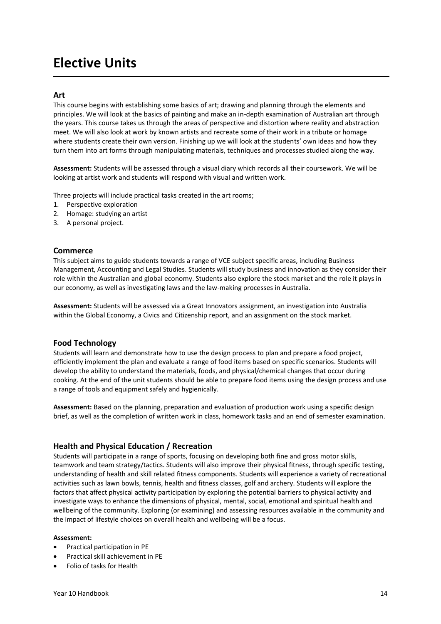# **Elective Units**

#### **Art**

This course begins with establishing some basics of art; drawing and planning through the elements and principles. We will look at the basics of painting and make an in-depth examination of Australian art through the years. This course takes us through the areas of perspective and distortion where reality and abstraction meet. We will also look at work by known artists and recreate some of their work in a tribute or homage where students create their own version. Finishing up we will look at the students' own ideas and how they turn them into art forms through manipulating materials, techniques and processes studied along the way.

**Assessment:** Students will be assessed through a visual diary which records all their coursework. We will be looking at artist work and students will respond with visual and written work.

Three projects will include practical tasks created in the art rooms;

- 1. Perspective exploration
- 2. Homage: studying an artist
- 3. A personal project.

#### **Commerce**

This subject aims to guide students towards a range of VCE subject specific areas, including Business Management, Accounting and Legal Studies. Students will study business and innovation as they consider their role within the Australian and global economy. Students also explore the stock market and the role it plays in our economy, as well as investigating laws and the law-making processes in Australia.

**Assessment:** Students will be assessed via a Great Innovators assignment, an investigation into Australia within the Global Economy, a Civics and Citizenship report, and an assignment on the stock market.

#### **Food Technology**

Students will learn and demonstrate how to use the design process to plan and prepare a food project, efficiently implement the plan and evaluate a range of food items based on specific scenarios. Students will develop the ability to understand the materials, foods, and physical/chemical changes that occur during cooking. At the end of the unit students should be able to prepare food items using the design process and use a range of tools and equipment safely and hygienically.

**Assessment:** Based on the planning, preparation and evaluation of production work using a specific design brief, as well as the completion of written work in class, homework tasks and an end of semester examination.

#### **Health and Physical Education / Recreation**

Students will participate in a range of sports, focusing on developing both fine and gross motor skills, teamwork and team strategy/tactics. Students will also improve their physical fitness, through specific testing, understanding of health and skill related fitness components. Students will experience a variety of recreational activities such as lawn bowls, tennis, health and fitness classes, golf and archery. Students will explore the factors that affect physical activity participation by exploring the potential barriers to physical activity and investigate ways to enhance the dimensions of physical, mental, social, emotional and spiritual health and wellbeing of the community. Exploring (or examining) and assessing resources available in the community and the impact of lifestyle choices on overall health and wellbeing will be a focus.

#### **Assessment:**

- Practical participation in PE
- Practical skill achievement in PE
- Folio of tasks for Health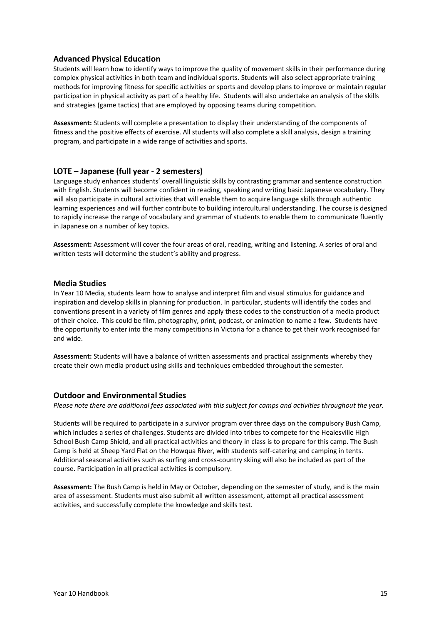### **Advanced Physical Education**

Students will learn how to identify ways to improve the quality of movement skills in their performance during complex physical activities in both team and individual sports. Students will also select appropriate training methods for improving fitness for specific activities or sports and develop plans to improve or maintain regular participation in physical activity as part of a healthy life. Students will also undertake an analysis of the skills and strategies (game tactics) that are employed by opposing teams during competition.

**Assessment:** Students will complete a presentation to display their understanding of the components of fitness and the positive effects of exercise. All students will also complete a skill analysis, design a training program, and participate in a wide range of activities and sports.

#### **LOTE – Japanese (full year - 2 semesters)**

Language study enhances students' overall linguistic skills by contrasting grammar and sentence construction with English. Students will become confident in reading, speaking and writing basic Japanese vocabulary. They will also participate in cultural activities that will enable them to acquire language skills through authentic learning experiences and will further contribute to building intercultural understanding. The course is designed to rapidly increase the range of vocabulary and grammar of students to enable them to communicate fluently in Japanese on a number of key topics.

**Assessment:** Assessment will cover the four areas of oral, reading, writing and listening. A series of oral and written tests will determine the student's ability and progress.

#### **Media Studies**

In Year 10 Media, students learn how to analyse and interpret film and visual stimulus for guidance and inspiration and develop skills in planning for production. In particular, students will identify the codes and conventions present in a variety of film genres and apply these codes to the construction of a media product of their choice. This could be film, photography, print, podcast, or animation to name a few. Students have the opportunity to enter into the many competitions in Victoria for a chance to get their work recognised far and wide.

**Assessment:** Students will have a balance of written assessments and practical assignments whereby they create their own media product using skills and techniques embedded throughout the semester.

#### **Outdoor and Environmental Studies**

*Please note there are additional fees associated with this subject for camps and activities throughout the year.*

Students will be required to participate in a survivor program over three days on the compulsory Bush Camp, which includes a series of challenges. Students are divided into tribes to compete for the Healesville High School Bush Camp Shield, and all practical activities and theory in class is to prepare for this camp. The Bush Camp is held at Sheep Yard Flat on the Howqua River, with students self-catering and camping in tents. Additional seasonal activities such as surfing and cross-country skiing will also be included as part of the course. Participation in all practical activities is compulsory.

**Assessment:** The Bush Camp is held in May or October, depending on the semester of study, and is the main area of assessment. Students must also submit all written assessment, attempt all practical assessment activities, and successfully complete the knowledge and skills test.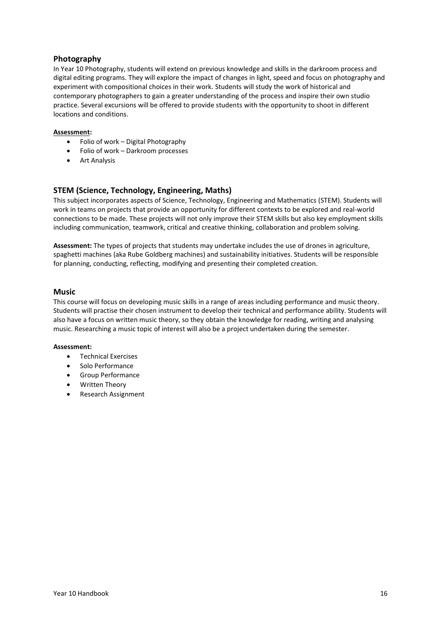# **Photography**

In Year 10 Photography, students will extend on previous knowledge and skills in the darkroom process and digital editing programs. They will explore the impact of changes in light, speed and focus on photography and experiment with compositional choices in their work. Students will study the work of historical and contemporary photographers to gain a greater understanding of the process and inspire their own studio practice. Several excursions will be offered to provide students with the opportunity to shoot in different locations and conditions.

#### **Assessment:**

- Folio of work Digital Photography
- Folio of work Darkroom processes
- Art Analysis

### **STEM (Science, Technology, Engineering, Maths)**

This subject incorporates aspects of Science, Technology, Engineering and Mathematics (STEM). Students will work in teams on projects that provide an opportunity for different contexts to be explored and real-world connections to be made. These projects will not only improve their STEM skills but also key employment skills including communication, teamwork, critical and creative thinking, collaboration and problem solving.

**Assessment:** The types of projects that students may undertake includes the use of drones in agriculture, spaghetti machines (aka Rube Goldberg machines) and sustainability initiatives. Students will be responsible for planning, conducting, reflecting, modifying and presenting their completed creation.

#### **Music**

This course will focus on developing music skills in a range of areas including performance and music theory. Students will practise their chosen instrument to develop their technical and performance ability. Students will also have a focus on written music theory, so they obtain the knowledge for reading, writing and analysing music. Researching a music topic of interest will also be a project undertaken during the semester.

#### **Assessment:**

- Technical Exercises
- Solo Performance
- Group Performance
- Written Theory
- Research Assignment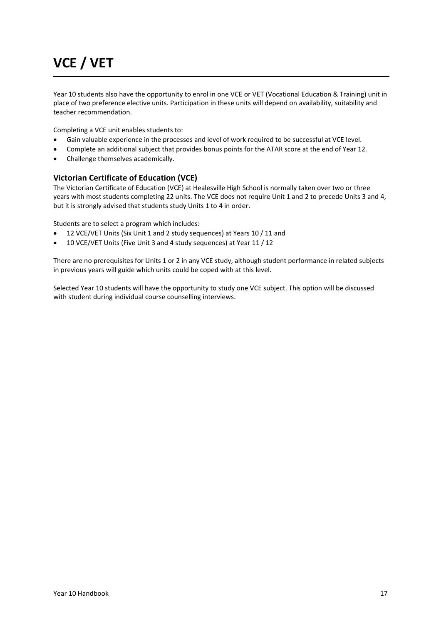# **VCE / VET**

Year 10 students also have the opportunity to enrol in one VCE or VET (Vocational Education & Training) unit in place of two preference elective units. Participation in these units will depend on availability, suitability and teacher recommendation.

Completing a VCE unit enables students to:

- Gain valuable experience in the processes and level of work required to be successful at VCE level.
- Complete an additional subject that provides bonus points for the ATAR score at the end of Year 12.
- Challenge themselves academically.

### **Victorian Certificate of Education (VCE)**

The Victorian Certificate of Education (VCE) at Healesville High School is normally taken over two or three years with most students completing 22 units. The VCE does not require Unit 1 and 2 to precede Units 3 and 4, but it is strongly advised that students study Units 1 to 4 in order.

Students are to select a program which includes:

- 12 VCE/VET Units (Six Unit 1 and 2 study sequences) at Years 10 / 11 and
- 10 VCE/VET Units (Five Unit 3 and 4 study sequences) at Year 11 / 12

There are no prerequisites for Units 1 or 2 in any VCE study, although student performance in related subjects in previous years will guide which units could be coped with at this level.

Selected Year 10 students will have the opportunity to study one VCE subject. This option will be discussed with student during individual course counselling interviews.